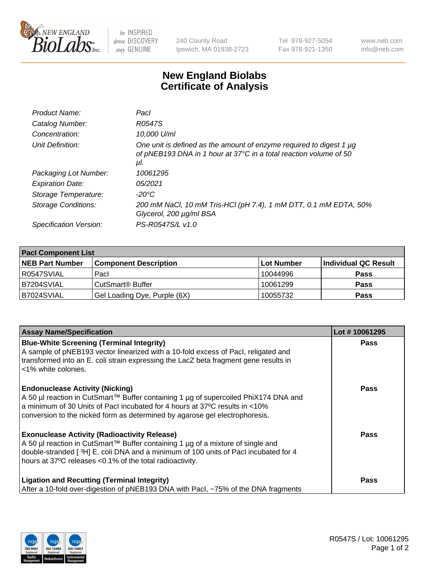

 $be$  INSPIRED drive DISCOVERY stay GENUINE

240 County Road Ipswich, MA 01938-2723 Tel 978-927-5054 Fax 978-921-1350 www.neb.com info@neb.com

## **New England Biolabs Certificate of Analysis**

| Product Name:           | Pacl                                                                                                                                            |
|-------------------------|-------------------------------------------------------------------------------------------------------------------------------------------------|
| Catalog Number:         | R0547S                                                                                                                                          |
| Concentration:          | 10,000 U/ml                                                                                                                                     |
| Unit Definition:        | One unit is defined as the amount of enzyme required to digest 1 µg<br>of pNEB193 DNA in 1 hour at 37°C in a total reaction volume of 50<br>μI. |
| Packaging Lot Number:   | 10061295                                                                                                                                        |
| <b>Expiration Date:</b> | 05/2021                                                                                                                                         |
| Storage Temperature:    | $-20^{\circ}$ C                                                                                                                                 |
| Storage Conditions:     | 200 mM NaCl, 10 mM Tris-HCl (pH 7.4), 1 mM DTT, 0.1 mM EDTA, 50%<br>Glycerol, 200 µg/ml BSA                                                     |
| Specification Version:  | PS-R0547S/L v1.0                                                                                                                                |

| <b>Pacl Component List</b> |                              |             |                      |  |  |
|----------------------------|------------------------------|-------------|----------------------|--|--|
| <b>NEB Part Number</b>     | <b>Component Description</b> | ∣Lot Number | Individual QC Result |  |  |
| R0547SVIAL                 | Pacl                         | 10044996    | <b>Pass</b>          |  |  |
| B7204SVIAL                 | CutSmart® Buffer             | 10061299    | <b>Pass</b>          |  |  |
| B7024SVIAL                 | Gel Loading Dye, Purple (6X) | 10055732    | <b>Pass</b>          |  |  |

| <b>Assay Name/Specification</b>                                                                                                                                                                                                                                                             | Lot #10061295 |
|---------------------------------------------------------------------------------------------------------------------------------------------------------------------------------------------------------------------------------------------------------------------------------------------|---------------|
| <b>Blue-White Screening (Terminal Integrity)</b><br>A sample of pNEB193 vector linearized with a 10-fold excess of Pacl, religated and<br>transformed into an E. coli strain expressing the LacZ beta fragment gene results in<br>l <1% white colonies.                                     | <b>Pass</b>   |
| <b>Endonuclease Activity (Nicking)</b><br>A 50 µl reaction in CutSmart™ Buffer containing 1 µg of supercoiled PhiX174 DNA and<br>a minimum of 30 Units of Pacl incubated for 4 hours at 37°C results in <10%<br>conversion to the nicked form as determined by agarose gel electrophoresis. | <b>Pass</b>   |
| <b>Exonuclease Activity (Radioactivity Release)</b><br>A 50 µl reaction in CutSmart™ Buffer containing 1 µg of a mixture of single and<br>double-stranded [3H] E. coli DNA and a minimum of 100 units of Pacl incubated for 4<br>hours at 37°C releases <0.1% of the total radioactivity.   | <b>Pass</b>   |
| <b>Ligation and Recutting (Terminal Integrity)</b><br>After a 10-fold over-digestion of pNEB193 DNA with Pacl, ~75% of the DNA fragments                                                                                                                                                    | <b>Pass</b>   |